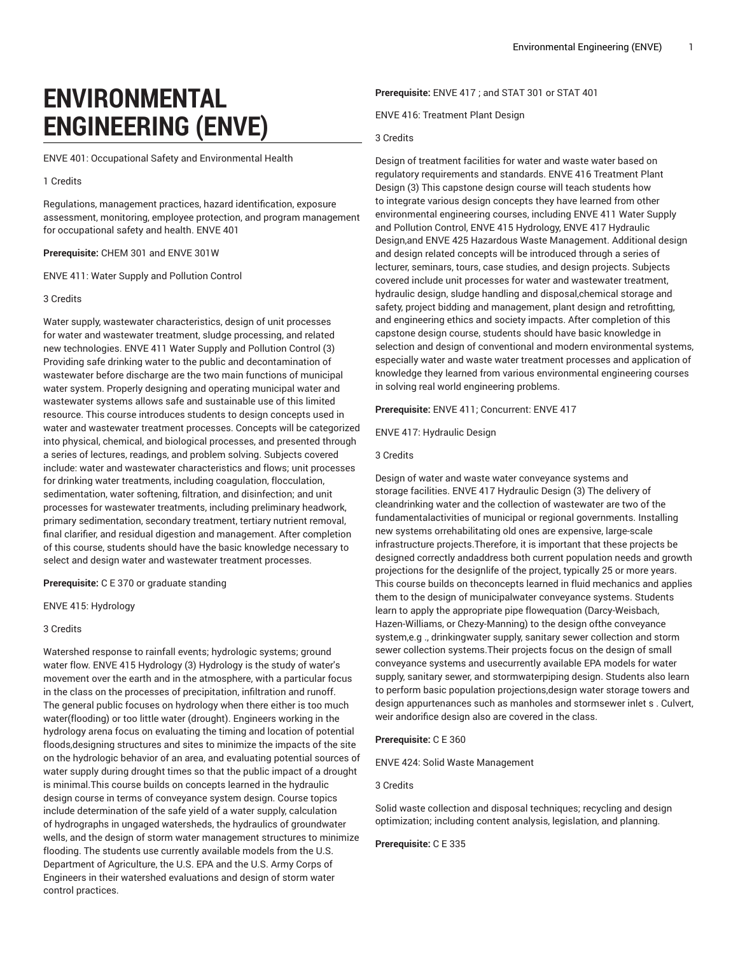# **ENVIRONMENTAL ENGINEERING (ENVE)**

ENVE 401: Occupational Safety and Environmental Health

#### 1 Credits

Regulations, management practices, hazard identification, exposure assessment, monitoring, employee protection, and program management for occupational safety and health. ENVE 401

## **Prerequisite:** CHEM 301 and ENVE 301W

ENVE 411: Water Supply and Pollution Control

### 3 Credits

Water supply, wastewater characteristics, design of unit processes for water and wastewater treatment, sludge processing, and related new technologies. ENVE 411 Water Supply and Pollution Control (3) Providing safe drinking water to the public and decontamination of wastewater before discharge are the two main functions of municipal water system. Properly designing and operating municipal water and wastewater systems allows safe and sustainable use of this limited resource. This course introduces students to design concepts used in water and wastewater treatment processes. Concepts will be categorized into physical, chemical, and biological processes, and presented through a series of lectures, readings, and problem solving. Subjects covered include: water and wastewater characteristics and flows; unit processes for drinking water treatments, including coagulation, flocculation, sedimentation, water softening, filtration, and disinfection; and unit processes for wastewater treatments, including preliminary headwork, primary sedimentation, secondary treatment, tertiary nutrient removal, final clarifier, and residual digestion and management. After completion of this course, students should have the basic knowledge necessary to select and design water and wastewater treatment processes.

## **Prerequisite:** C E 370 or graduate standing

ENVE 415: Hydrology

### 3 Credits

Watershed response to rainfall events; hydrologic systems; ground water flow. ENVE 415 Hydrology (3) Hydrology is the study of water's movement over the earth and in the atmosphere, with a particular focus in the class on the processes of precipitation, infiltration and runoff. The general public focuses on hydrology when there either is too much water(flooding) or too little water (drought). Engineers working in the hydrology arena focus on evaluating the timing and location of potential floods,designing structures and sites to minimize the impacts of the site on the hydrologic behavior of an area, and evaluating potential sources of water supply during drought times so that the public impact of a drought is minimal.This course builds on concepts learned in the hydraulic design course in terms of conveyance system design. Course topics include determination of the safe yield of a water supply, calculation of hydrographs in ungaged watersheds, the hydraulics of groundwater wells, and the design of storm water management structures to minimize flooding. The students use currently available models from the U.S. Department of Agriculture, the U.S. EPA and the U.S. Army Corps of Engineers in their watershed evaluations and design of storm water control practices.

**Prerequisite:** ENVE 417 ; and STAT 301 or STAT 401

ENVE 416: Treatment Plant Design

# 3 Credits

Design of treatment facilities for water and waste water based on regulatory requirements and standards. ENVE 416 Treatment Plant Design (3) This capstone design course will teach students how to integrate various design concepts they have learned from other environmental engineering courses, including ENVE 411 Water Supply and Pollution Control, ENVE 415 Hydrology, ENVE 417 Hydraulic Design,and ENVE 425 Hazardous Waste Management. Additional design and design related concepts will be introduced through a series of lecturer, seminars, tours, case studies, and design projects. Subjects covered include unit processes for water and wastewater treatment, hydraulic design, sludge handling and disposal,chemical storage and safety, project bidding and management, plant design and retrofitting, and engineering ethics and society impacts. After completion of this capstone design course, students should have basic knowledge in selection and design of conventional and modern environmental systems, especially water and waste water treatment processes and application of knowledge they learned from various environmental engineering courses in solving real world engineering problems.

**Prerequisite:** ENVE 411; Concurrent: ENVE 417

ENVE 417: Hydraulic Design

# 3 Credits

Design of water and waste water conveyance systems and storage facilities. ENVE 417 Hydraulic Design (3) The delivery of cleandrinking water and the collection of wastewater are two of the fundamentalactivities of municipal or regional governments. Installing new systems orrehabilitating old ones are expensive, large-scale infrastructure projects.Therefore, it is important that these projects be designed correctly andaddress both current population needs and growth projections for the designlife of the project, typically 25 or more years. This course builds on theconcepts learned in fluid mechanics and applies them to the design of municipalwater conveyance systems. Students learn to apply the appropriate pipe flowequation (Darcy-Weisbach, Hazen-Williams, or Chezy-Manning) to the design ofthe conveyance system,e.g ., drinkingwater supply, sanitary sewer collection and storm sewer collection systems.Their projects focus on the design of small conveyance systems and usecurrently available EPA models for water supply, sanitary sewer, and stormwaterpiping design. Students also learn to perform basic population projections,design water storage towers and design appurtenances such as manholes and stormsewer inlet s . Culvert, weir andorifice design also are covered in the class.

## **Prerequisite:** C E 360

ENVE 424: Solid Waste Management

# 3 Credits

Solid waste collection and disposal techniques; recycling and design optimization; including content analysis, legislation, and planning.

#### **Prerequisite:** C E 335